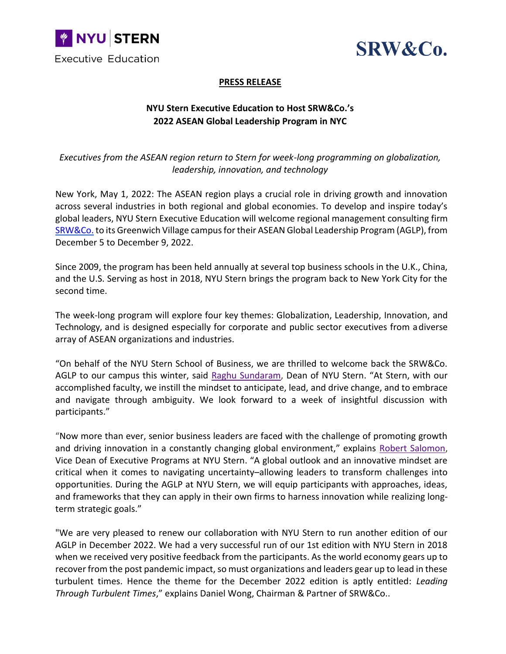



## **PRESS RELEASE**

## **NYU Stern Executive Education to Host SRW&Co.'s 2022 ASEAN Global Leadership Program in NYC**

*Executives from the ASEAN region return to Stern for week-long programming on globalization, leadership, innovation, and technology*

New York, May 1, 2022: The ASEAN region plays a crucial role in driving growth and innovation across several industries in both regional and global economies. To develop and inspire today's global leaders, NYU Stern Executive Education will welcome regional management consulting firm [SRW&Co.](http://srwasia.com/) to its Greenwich Village campus for their ASEAN Global Leadership Program (AGLP), from December 5 to December 9, 2022.

Since 2009, the program has been held annually at several top business schools in the U.K., China, and the U.S. Serving as host in 2018, NYU Stern brings the program back to New York City for the second time.

The week-long program will explore four key themes: Globalization, Leadership, Innovation, and Technology, and is designed especially for corporate and public sector executives from adiverse array of ASEAN organizations and industries.

"On behalf of the NYU Stern School of Business, we are thrilled to welcome back the SRW&Co. AGLP to our campus this winter, said [Raghu Sundaram,](https://www.stern.nyu.edu/experience-stern/about/leadership/nyu-stern-dean-raghu-sundaram) Dean of NYU Stern. "At Stern, with our accomplished faculty, we instill the mindset to anticipate, lead, and drive change, and to embrace and navigate through ambiguity. We look forward to a week of insightful discussion with participants."

"Now more than ever, senior business leaders are faced with the challenge of promoting growth and driving innovation in a constantly changing global environment," explains [Robert Salomon,](https://www.stern.nyu.edu/faculty/bio/robert-salomon) Vice Dean of Executive Programs at NYU Stern. "A global outlook and an innovative mindset are critical when it comes to navigating uncertainty–allowing leaders to transform challenges into opportunities. During the AGLP at NYU Stern, we will equip participants with approaches, ideas, and frameworks that they can apply in their own firms to harness innovation while realizing longterm strategic goals."

"We are very pleased to renew our collaboration with NYU Stern to run another edition of our AGLP in December 2022. We had a very successful run of our 1st edition with NYU Stern in 2018 when we received very positive feedback from the participants. As the world economy gears up to recover from the post pandemic impact, so must organizations and leaders gear up to lead in these turbulent times. Hence the theme for the December 2022 edition is aptly entitled: *Leading Through Turbulent Times*," explains Daniel Wong, Chairman & Partner of SRW&Co..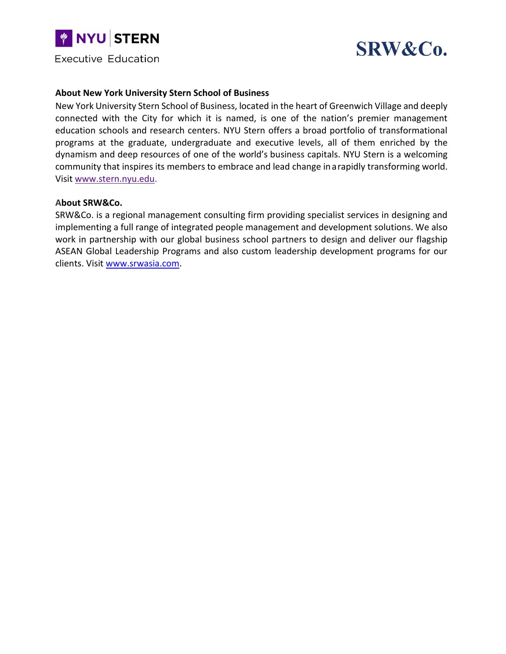



## **About New York University Stern School of Business**

New York University Stern School of Business, located in the heart of Greenwich Village and deeply connected with the City for which it is named, is one of the nation's premier management education schools and research centers. NYU Stern offers a broad portfolio of transformational programs at the graduate, undergraduate and executive levels, all of them enriched by the dynamism and deep resources of one of the world's business capitals. NYU Stern is a welcoming community that inspires its members to embrace and lead change ina rapidly transforming world. Visit [www.stern.nyu.edu.](https://www.stern.nyu.edu/)

## **About SRW&Co.**

SRW&Co. is a regional management consulting firm providing specialist services in designing and implementing a full range of integrated people management and development solutions. We also work in partnership with our global business school partners to design and deliver our flagship ASEAN Global Leadership Programs and also custom leadership development programs for our clients. Visit [www.srwasia.com.](http://www.srwasia.com/)